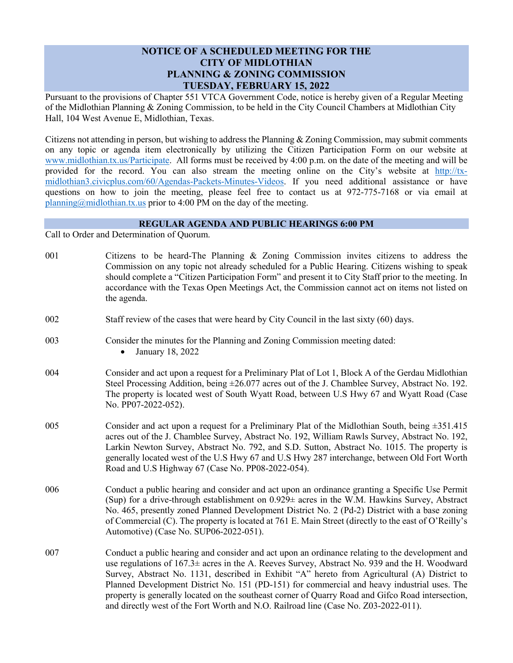## **NOTICE OF A SCHEDULED MEETING FOR THE CITY OF MIDLOTHIAN PLANNING & ZONING COMMISSION TUESDAY, FEBRUARY 15, 2022**

Pursuant to the provisions of Chapter 551 VTCA Government Code, notice is hereby given of a Regular Meeting of the Midlothian Planning & Zoning Commission, to be held in the City Council Chambers at Midlothian City Hall, 104 West Avenue E, Midlothian, Texas.

Citizens not attending in person, but wishing to address the Planning & Zoning Commission, may submit comments on any topic or agenda item electronically by utilizing the Citizen Participation Form on our website at [www.midlothian.tx.us/Participate.](http://www.midlothian.tx.us/Participate) All forms must be received by 4:00 p.m. on the date of the meeting and will be provided for the record. You can also stream the meeting online on the City's website at [http://tx](http://tx-midlothian3.civicplus.com/60/Agendas-Packets-Minutes-Videos)[midlothian3.civicplus.com/60/Agendas-Packets-Minutes-Videos.](http://tx-midlothian3.civicplus.com/60/Agendas-Packets-Minutes-Videos) If you need additional assistance or have questions on how to join the meeting, please feel free to contact us at 972-775-7168 or via email at [planning@midlothian.tx.us](mailto:planning@midlothian.tx.us) prior to 4:00 PM on the day of the meeting.

## **REGULAR AGENDA AND PUBLIC HEARINGS 6:00 PM**

Call to Order and Determination of Quorum.

| Citizens to be heard-The Planning $\&$ Zoning Commission invites citizens to address the<br>Commission on any topic not already scheduled for a Public Hearing. Citizens wishing to speak<br>should complete a "Citizen Participation Form" and present it to City Staff prior to the meeting. In<br>accordance with the Texas Open Meetings Act, the Commission cannot act on items not listed on<br>the agenda.                                                                                                                                                                           |
|---------------------------------------------------------------------------------------------------------------------------------------------------------------------------------------------------------------------------------------------------------------------------------------------------------------------------------------------------------------------------------------------------------------------------------------------------------------------------------------------------------------------------------------------------------------------------------------------|
| Staff review of the cases that were heard by City Council in the last sixty (60) days.                                                                                                                                                                                                                                                                                                                                                                                                                                                                                                      |
| Consider the minutes for the Planning and Zoning Commission meeting dated:<br>January 18, 2022                                                                                                                                                                                                                                                                                                                                                                                                                                                                                              |
| Consider and act upon a request for a Preliminary Plat of Lot 1, Block A of the Gerdau Midlothian<br>Steel Processing Addition, being $\pm 26.077$ acres out of the J. Chamblee Survey, Abstract No. 192.<br>The property is located west of South Wyatt Road, between U.S Hwy 67 and Wyatt Road (Case<br>No. PP07-2022-052).                                                                                                                                                                                                                                                               |
| Consider and act upon a request for a Preliminary Plat of the Midlothian South, being $\pm 351.415$<br>acres out of the J. Chamblee Survey, Abstract No. 192, William Rawls Survey, Abstract No. 192,<br>Larkin Newton Survey, Abstract No. 792, and S.D. Sutton, Abstract No. 1015. The property is<br>generally located west of the U.S Hwy 67 and U.S Hwy 287 interchange, between Old Fort Worth<br>Road and U.S Highway 67 (Case No. PP08-2022-054).                                                                                                                                   |
| Conduct a public hearing and consider and act upon an ordinance granting a Specific Use Permit<br>(Sup) for a drive-through establishment on 0.929± acres in the W.M. Hawkins Survey, Abstract<br>No. 465, presently zoned Planned Development District No. 2 (Pd-2) District with a base zoning<br>of Commercial (C). The property is located at 761 E. Main Street (directly to the east of O'Reilly's<br>Automotive) (Case No. SUP06-2022-051).                                                                                                                                          |
| Conduct a public hearing and consider and act upon an ordinance relating to the development and<br>use regulations of 167.3± acres in the A. Reeves Survey, Abstract No. 939 and the H. Woodward<br>Survey, Abstract No. 1131, described in Exhibit "A" hereto from Agricultural (A) District to<br>Planned Development District No. 151 (PD-151) for commercial and heavy industrial uses. The<br>property is generally located on the southeast corner of Quarry Road and Gifco Road intersection,<br>and directly west of the Fort Worth and N.O. Railroad line (Case No. Z03-2022-011). |
|                                                                                                                                                                                                                                                                                                                                                                                                                                                                                                                                                                                             |